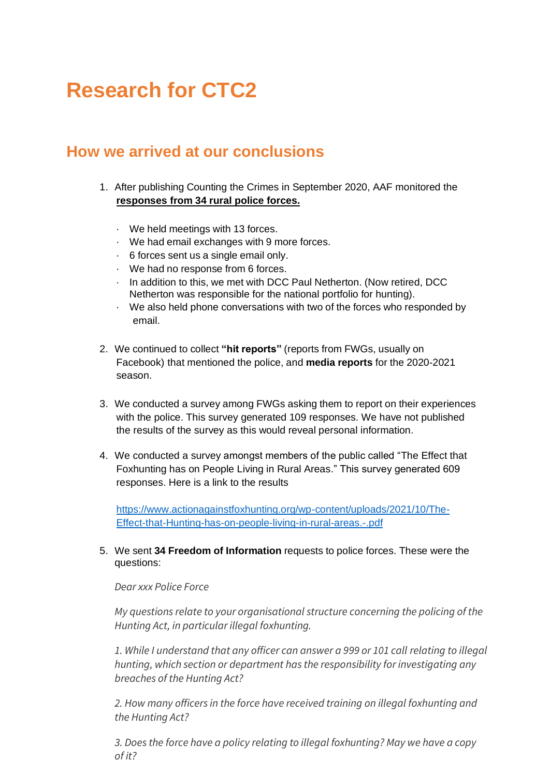# **Research for CTC2**

# **How we arrived at our conclusions**

- 1. After publishing Counting the Crimes in September 2020, AAF monitored the **responses from 34 rural police forces.**
	- · We held meetings with 13 forces.
	- · We had email exchanges with 9 more forces.
	- · 6 forces sent us a single email only.
	- · We had no response from 6 forces.
	- · In addition to this, we met with DCC Paul Netherton. (Now retired, DCC Netherton was responsible for the national portfolio for hunting).
	- · We also held phone conversations with two of the forces who responded by email.
- 2. We continued to collect **"hit reports"** (reports from FWGs, usually on Facebook) that mentioned the police, and **media reports** for the 2020-2021 season.
- 3. We conducted a survey among FWGs asking them to report on their experiences with the police. This survey generated 109 responses. We have not published the results of the survey as this would reveal personal information.
- 4. We conducted a survey amongst members of the public called ["The Effect that](https://www.surveyhero.com/user/surveys/301865/edit)  [Foxhunting has on People Living in Rural Areas.](https://www.surveyhero.com/user/surveys/301865/edit)" This survey generated 609 responses. Here is a link to the results

[https://www.actionagainstfoxhunting.org/wp-content/uploads/2021/10/The-](https://www.actionagainstfoxhunting.org/wp-content/uploads/2021/10/The-Effect-that-Hunting-has-on-people-living-in-rural-areas.-.pdf)[Effect-that-Hunting-has-on-people-living-in-rural-areas.-.pdf](https://www.actionagainstfoxhunting.org/wp-content/uploads/2021/10/The-Effect-that-Hunting-has-on-people-living-in-rural-areas.-.pdf)

#### 5. We sent **34 Freedom of Information** requests to police forces. These were the questions:

*Dear xxx Police Force*

*My questions relate to your organisational structure concerning the policing of the Hunting Act, in particular illegal foxhunting.*

*1. While I understand that any officer can answer a 999 or 101 call relating to illegal hunting, which section or department has the responsibility for investigating any breaches of the Hunting Act?*

*2. How many officers in the force have received training on illegal foxhunting and the Hunting Act?*

*3. Does the force have a policy relating to illegal foxhunting? May we have a copy of it?*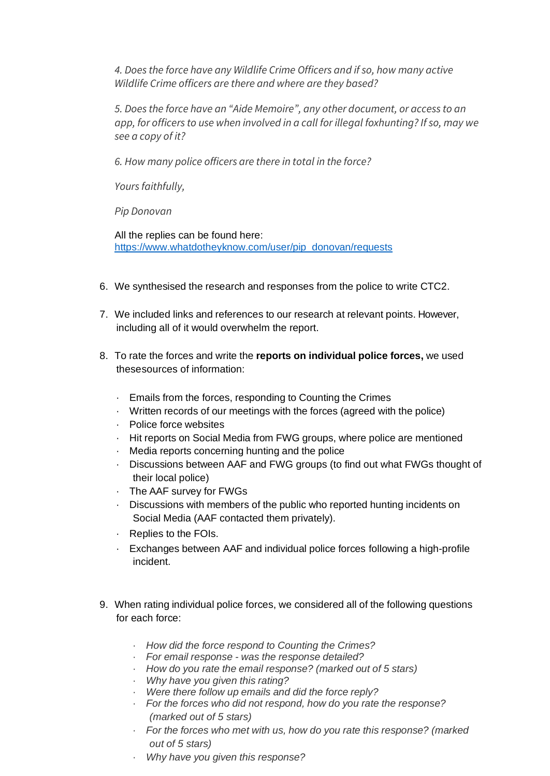*4. Does the force have any Wildlife Crime Officers and if so, how many active Wildlife Crime officers are there and where are they based?*

*5. Does the force have an "Aide Memoire", any other document, or access to an app, for officers to use when involved in a call for illegal foxhunting? If so, may we see a copy of it?*

*6. How many police officers are there in total in the force?*

*Yours faithfully,*

*Pip Donovan*

All the replies can be found here: [https://www.whatdotheyknow.com/user/pip\\_donovan/requests](https://www.whatdotheyknow.com/user/pip_donovan/requests)

- 6. We synthesised the research and responses from the police to write CTC2.
- 7. We included links and references to our research at relevant points. However, including all of it would overwhelm the report.
- 8. To rate the forces and write the **reports on individual police forces,** we used these sources of information:
	- · Emails from the forces, responding to Counting the Crimes
	- · Written records of our meetings with the forces (agreed with the police)
	- · Police force websites
	- · Hit reports on Social Media from FWG groups, where police are mentioned
	- · Media reports concerning hunting and the police
	- · Discussions between AAF and FWG groups (to find out what FWGs thought of their local police)
	- · The AAF survey for FWGs
	- · Discussions with members of the public who reported hunting incidents on Social Media (AAF contacted them privately).
	- · Replies to the FOIs.
	- · Exchanges between AAF and individual police forces following a high-profile incident.
- 9. When rating individual police forces, we considered all of the following questions for each force:
	- · *How did the force respond to Counting the Crimes?*
	- · *For email response - was the response detailed?*
	- · *How do you rate the email response? (marked out of 5 stars)*
	- · *Why have you given this rating?*
	- · *Were there follow up emails and did the force reply?*
	- · *For the forces who did not respond, how do you rate the response? (marked out of 5 stars)*
	- · *For the forces who met with us, how do you rate this response? (marked out of 5 stars)*
	- · *Why have you given this response?*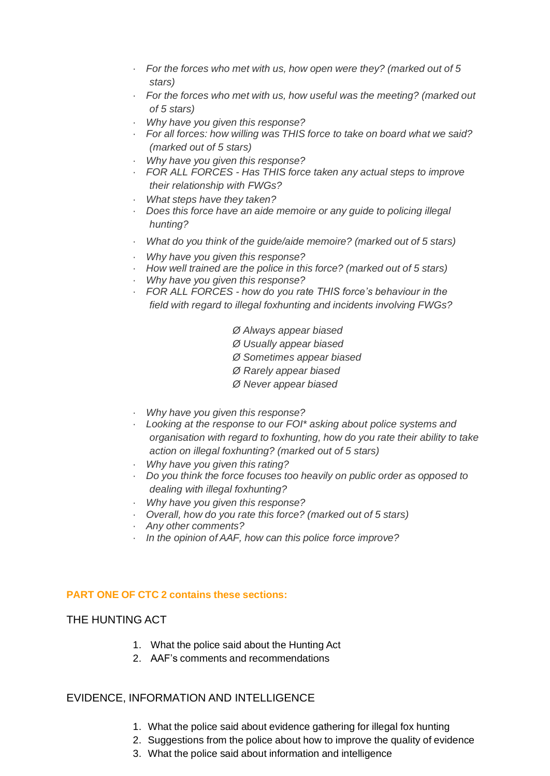- · *For the forces who met with us, how open were they? (marked out of 5 stars)*
- · *For the forces who met with us, how useful was the meeting? (marked out of 5 stars)*
- · *Why have you given this response?*
- · *For all forces: how willing was THIS force to take on board what we said? (marked out of 5 stars)*
- · *Why have you given this response?*
- · *FOR ALL FORCES - Has THIS force taken any actual steps to improve their relationship with FWGs?*
- · *What steps have they taken?*
- · *Does this force have an aide memoire or any guide to policing illegal hunting?*
- · *What do you think of the guide/aide memoire? (marked out of 5 stars)*
- · *Why have you given this response?*
- · *How well trained are the police in this force? (marked out of 5 stars)*
- · *Why have you given this response?*
- · *FOR ALL FORCES - how do you rate THIS force's behaviour in the field with regard to illegal foxhunting and incidents involving FWGs?*
	- *Ø Always appear biased*
	- *Ø Usually appear biased*
	- *Ø Sometimes appear biased*
	- *Ø Rarely appear biased*
	- *Ø Never appear biased*
- · *Why have you given this response?*
- · *Looking at the response to our FOI\* asking about police systems and organisation with regard to foxhunting, how do you rate their ability to take action on illegal foxhunting? (marked out of 5 stars)*
- · *Why have you given this rating?*
- · *Do you think the force focuses too heavily on public order as opposed to dealing with illegal foxhunting?*
- · *Why have you given this response?*
- · *Overall, how do you rate this force? (marked out of 5 stars)*
- · *Any other comments?*
- · *In the opinion of AAF, how can this police force improve?*

#### **PART ONE OF CTC 2 contains these sections:**

### THE HUNTING ACT

- 1. What the police said about the Hunting Act
- 2. AAF's comments and recommendations

#### EVIDENCE, INFORMATION AND INTELLIGENCE

- 1. What the police said about evidence gathering for illegal fox hunting
- 2. Suggestions from the police about how to improve the quality of evidence
- 3. What the police said about information and intelligence